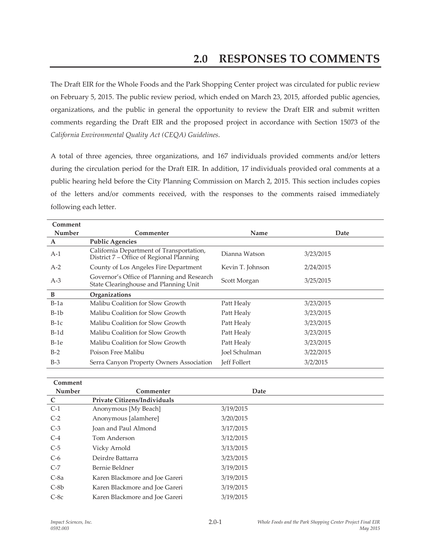The Draft EIR for the Whole Foods and the Park Shopping Center project was circulated for public review on February 5, 2015. The public review period, which ended on March 23, 2015, afforded public agencies, organizations, and the public in general the opportunity to review the Draft EIR and submit written comments regarding the Draft EIR and the proposed project in accordance with Section 15073 of the *California Environmental Quality Act (CEQA) Guidelines*.

A total of three agencies, three organizations, and 167 individuals provided comments and/or letters during the circulation period for the Draft EIR. In addition, 17 individuals provided oral comments at a public hearing held before the City Planning Commission on March 2, 2015. This section includes copies of the letters and/or comments received, with the responses to the comments raised immediately following each letter.

| Comment      |                                                                                      |                  |           |
|--------------|--------------------------------------------------------------------------------------|------------------|-----------|
| Number       | Commenter                                                                            | Name             | Date      |
| $\mathbf{A}$ | <b>Public Agencies</b>                                                               |                  |           |
| $A-1$        | California Department of Transportation,<br>District 7 – Office of Regional Planning | Dianna Watson    | 3/23/2015 |
| $A-2$        | County of Los Angeles Fire Department                                                | Kevin T. Johnson | 2/24/2015 |
| $A-3$        | Governor's Office of Planning and Research<br>State Clearinghouse and Planning Unit  | Scott Morgan     | 3/25/2015 |
| B            | Organizations                                                                        |                  |           |
| $B-1a$       | Malibu Coalition for Slow Growth                                                     | Patt Healy       | 3/23/2015 |
| $B-1b$       | Malibu Coalition for Slow Growth                                                     | Patt Healy       | 3/23/2015 |
| $B-1c$       | Malibu Coalition for Slow Growth                                                     | Patt Healy       | 3/23/2015 |
| $B-1d$       | Malibu Coalition for Slow Growth                                                     | Patt Healy       | 3/23/2015 |
| $B-1e$       | Malibu Coalition for Slow Growth                                                     | Patt Healy       | 3/23/2015 |
| $B-2$        | Poison Free Malibu                                                                   | Joel Schulman    | 3/22/2015 |
| $B-3$        | Serra Canyon Property Owners Association                                             | Jeff Follert     | 3/2/2015  |

| Comment     |                                     |           |  |
|-------------|-------------------------------------|-----------|--|
| Number      | Commenter                           | Date      |  |
| $\mathbf C$ | <b>Private Citizens/Individuals</b> |           |  |
| $C-1$       | Anonymous [My Beach]                | 3/19/2015 |  |
| $C-2$       | Anonymous [alamhere]                | 3/20/2015 |  |
| $C-3$       | Joan and Paul Almond                | 3/17/2015 |  |
| $C-4$       | Tom Anderson                        | 3/12/2015 |  |
| $C-5$       | Vicky Arnold                        | 3/13/2015 |  |
| $C-6$       | Deirdre Battarra                    | 3/23/2015 |  |
| $C-7$       | Bernie Beldner                      | 3/19/2015 |  |
| $C-8a$      | Karen Blackmore and Joe Gareri      | 3/19/2015 |  |
| $C-8b$      | Karen Blackmore and Joe Gareri      | 3/19/2015 |  |
| $C-8c$      | Karen Blackmore and Joe Gareri      | 3/19/2015 |  |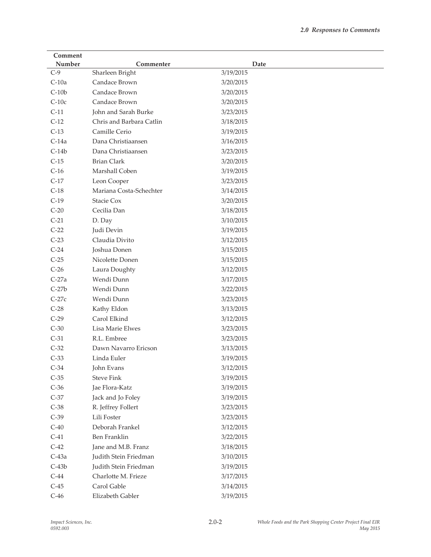| Number<br>Commenter<br>Date<br>$C-9$<br>Sharleen Bright<br>3/19/2015<br>$C-10a$<br>Candace Brown<br>3/20/2015<br>$C-10b$<br>Candace Brown<br>3/20/2015<br>$C-10c$<br>Candace Brown<br>3/20/2015<br>$C-11$<br>John and Sarah Burke<br>3/23/2015<br>$C-12$<br>Chris and Barbara Catlin<br>3/18/2015<br>$C-13$<br>Camille Cerio<br>3/19/2015<br>$C-14a$<br>Dana Christiaansen<br>3/16/2015<br>$C-14b$<br>Dana Christiaansen<br>3/23/2015<br>$C-15$<br><b>Brian Clark</b><br>3/20/2015<br>$C-16$<br>Marshall Coben<br>3/19/2015<br>$C-17$<br>Leon Cooper<br>3/23/2015<br>$C-18$<br>Mariana Costa-Schechter<br>3/14/2015 |
|---------------------------------------------------------------------------------------------------------------------------------------------------------------------------------------------------------------------------------------------------------------------------------------------------------------------------------------------------------------------------------------------------------------------------------------------------------------------------------------------------------------------------------------------------------------------------------------------------------------------|
|                                                                                                                                                                                                                                                                                                                                                                                                                                                                                                                                                                                                                     |
|                                                                                                                                                                                                                                                                                                                                                                                                                                                                                                                                                                                                                     |
|                                                                                                                                                                                                                                                                                                                                                                                                                                                                                                                                                                                                                     |
|                                                                                                                                                                                                                                                                                                                                                                                                                                                                                                                                                                                                                     |
|                                                                                                                                                                                                                                                                                                                                                                                                                                                                                                                                                                                                                     |
|                                                                                                                                                                                                                                                                                                                                                                                                                                                                                                                                                                                                                     |
|                                                                                                                                                                                                                                                                                                                                                                                                                                                                                                                                                                                                                     |
|                                                                                                                                                                                                                                                                                                                                                                                                                                                                                                                                                                                                                     |
|                                                                                                                                                                                                                                                                                                                                                                                                                                                                                                                                                                                                                     |
|                                                                                                                                                                                                                                                                                                                                                                                                                                                                                                                                                                                                                     |
|                                                                                                                                                                                                                                                                                                                                                                                                                                                                                                                                                                                                                     |
|                                                                                                                                                                                                                                                                                                                                                                                                                                                                                                                                                                                                                     |
|                                                                                                                                                                                                                                                                                                                                                                                                                                                                                                                                                                                                                     |
|                                                                                                                                                                                                                                                                                                                                                                                                                                                                                                                                                                                                                     |
| $C-19$<br>Stacie Cox<br>3/20/2015                                                                                                                                                                                                                                                                                                                                                                                                                                                                                                                                                                                   |
| Cecilia Dan<br>$C-20$<br>3/18/2015                                                                                                                                                                                                                                                                                                                                                                                                                                                                                                                                                                                  |
| $C-21$<br>D. Day<br>3/10/2015                                                                                                                                                                                                                                                                                                                                                                                                                                                                                                                                                                                       |
| $C-22$<br>Judi Devin<br>3/19/2015                                                                                                                                                                                                                                                                                                                                                                                                                                                                                                                                                                                   |
| $C-23$<br>Claudia Divito<br>3/12/2015                                                                                                                                                                                                                                                                                                                                                                                                                                                                                                                                                                               |
| $C-24$<br>Joshua Donen<br>3/15/2015                                                                                                                                                                                                                                                                                                                                                                                                                                                                                                                                                                                 |
| $C-25$<br>Nicolette Donen<br>3/15/2015                                                                                                                                                                                                                                                                                                                                                                                                                                                                                                                                                                              |
| $C-26$<br>Laura Doughty<br>3/12/2015                                                                                                                                                                                                                                                                                                                                                                                                                                                                                                                                                                                |
| $C-27a$<br>Wendi Dunn<br>3/17/2015                                                                                                                                                                                                                                                                                                                                                                                                                                                                                                                                                                                  |
| $C-27b$<br>Wendi Dunn<br>3/22/2015                                                                                                                                                                                                                                                                                                                                                                                                                                                                                                                                                                                  |
| Wendi Dunn<br>$C-27c$<br>3/23/2015                                                                                                                                                                                                                                                                                                                                                                                                                                                                                                                                                                                  |
| $C-28$<br>Kathy Eldon<br>3/13/2015                                                                                                                                                                                                                                                                                                                                                                                                                                                                                                                                                                                  |
| Carol Elkind<br>$C-29$<br>3/12/2015                                                                                                                                                                                                                                                                                                                                                                                                                                                                                                                                                                                 |
| $C-30$<br>Lisa Marie Elwes<br>3/23/2015                                                                                                                                                                                                                                                                                                                                                                                                                                                                                                                                                                             |
| $C-31$<br>R.L. Embree<br>3/23/2015                                                                                                                                                                                                                                                                                                                                                                                                                                                                                                                                                                                  |
| $C-32$<br>Dawn Navarro Ericson<br>3/13/2015                                                                                                                                                                                                                                                                                                                                                                                                                                                                                                                                                                         |
| $C-33$<br>Linda Euler<br>3/19/2015                                                                                                                                                                                                                                                                                                                                                                                                                                                                                                                                                                                  |
| $C-34$<br>John Evans<br>3/12/2015                                                                                                                                                                                                                                                                                                                                                                                                                                                                                                                                                                                   |
| $C-35$<br><b>Steve Fink</b><br>3/19/2015                                                                                                                                                                                                                                                                                                                                                                                                                                                                                                                                                                            |
| $C-36$<br>Jae Flora-Katz<br>3/19/2015                                                                                                                                                                                                                                                                                                                                                                                                                                                                                                                                                                               |
| $C-37$<br>Jack and Jo Foley<br>3/19/2015                                                                                                                                                                                                                                                                                                                                                                                                                                                                                                                                                                            |
| $C-38$<br>R. Jeffrey Follert<br>3/23/2015                                                                                                                                                                                                                                                                                                                                                                                                                                                                                                                                                                           |
| $C-39$<br>Lili Foster<br>3/23/2015                                                                                                                                                                                                                                                                                                                                                                                                                                                                                                                                                                                  |
| $C-40$<br>Deborah Frankel<br>3/12/2015                                                                                                                                                                                                                                                                                                                                                                                                                                                                                                                                                                              |
| $C-41$<br><b>Ben Franklin</b><br>3/22/2015                                                                                                                                                                                                                                                                                                                                                                                                                                                                                                                                                                          |
| $C-42$<br>Jane and M.B. Franz<br>3/18/2015                                                                                                                                                                                                                                                                                                                                                                                                                                                                                                                                                                          |
| $C-43a$<br>Judith Stein Friedman<br>3/10/2015                                                                                                                                                                                                                                                                                                                                                                                                                                                                                                                                                                       |
| $C-43b$<br>Judith Stein Friedman<br>3/19/2015                                                                                                                                                                                                                                                                                                                                                                                                                                                                                                                                                                       |
| $C-44$<br>Charlotte M. Frieze<br>3/17/2015                                                                                                                                                                                                                                                                                                                                                                                                                                                                                                                                                                          |
| $C-45$<br>Carol Gable<br>3/14/2015                                                                                                                                                                                                                                                                                                                                                                                                                                                                                                                                                                                  |
| $C-46$<br>Elizabeth Gabler<br>3/19/2015                                                                                                                                                                                                                                                                                                                                                                                                                                                                                                                                                                             |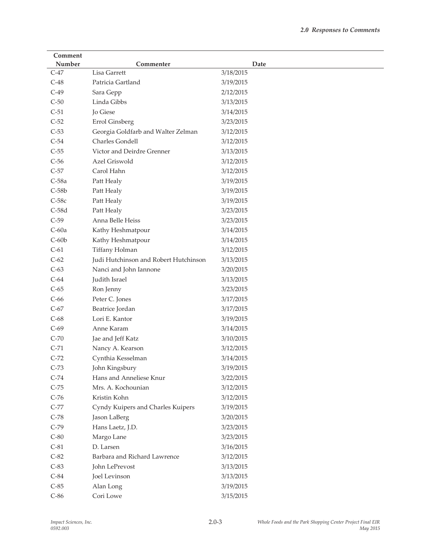| Comment |                                       |           |
|---------|---------------------------------------|-----------|
| Number  | Commenter                             | Date      |
| $C-47$  | Lisa Garrett                          | 3/18/2015 |
| $C-48$  | Patricia Gartland                     | 3/19/2015 |
| $C-49$  | Sara Gepp                             | 2/12/2015 |
| $C-50$  | Linda Gibbs                           | 3/13/2015 |
| $C-51$  | Jo Giese                              | 3/14/2015 |
| $C-52$  | Errol Ginsberg                        | 3/23/2015 |
| $C-53$  | Georgia Goldfarb and Walter Zelman    | 3/12/2015 |
| $C-54$  | Charles Gondell                       | 3/12/2015 |
| $C-55$  | Victor and Deirdre Grenner            | 3/13/2015 |
| $C-56$  | Azel Griswold                         | 3/12/2015 |
| $C-57$  | Carol Hahn                            | 3/12/2015 |
| $C-58a$ | Patt Healy                            | 3/19/2015 |
| $C-58b$ | Patt Healy                            | 3/19/2015 |
| $C-58c$ | Patt Healy                            | 3/19/2015 |
| $C-58d$ | Patt Healy                            | 3/23/2015 |
| $C-59$  | Anna Belle Heiss                      | 3/23/2015 |
| $C-60a$ | Kathy Heshmatpour                     | 3/14/2015 |
| $C-60b$ | Kathy Heshmatpour                     | 3/14/2015 |
| $C-61$  | Tiffany Holman                        | 3/12/2015 |
| $C-62$  | Judi Hutchinson and Robert Hutchinson | 3/13/2015 |
| $C-63$  | Nanci and John Iannone                | 3/20/2015 |
| $C-64$  | Judith Israel                         | 3/13/2015 |
| $C-65$  | Ron Jenny                             | 3/23/2015 |
| $C-66$  | Peter C. Jones                        | 3/17/2015 |
| $C-67$  | Beatrice Jordan                       | 3/17/2015 |
| $C-68$  | Lori E. Kantor                        | 3/19/2015 |
| $C-69$  | Anne Karam                            | 3/14/2015 |
| $C-70$  | Jae and Jeff Katz                     | 3/10/2015 |
| $C-71$  | Nancy A. Kearson                      | 3/12/2015 |
| $C-72$  | Cynthia Kesselman                     | 3/14/2015 |
| $C-73$  | John Kingsbury                        | 3/19/2015 |
| $C-74$  | Hans and Anneliese Knur               | 3/22/2015 |
| $C-75$  | Mrs. A. Kochounian                    | 3/12/2015 |
| $C-76$  | Kristin Kohn                          | 3/12/2015 |
| $C-77$  | Cyndy Kuipers and Charles Kuipers     | 3/19/2015 |
| $C-78$  | Jason LaBerg                          | 3/20/2015 |
| $C-79$  | Hans Laetz, J.D.                      | 3/23/2015 |
| $C-80$  | Margo Lane                            | 3/23/2015 |
| $C-81$  | D. Larsen                             | 3/16/2015 |
| $C-82$  | Barbara and Richard Lawrence          | 3/12/2015 |
| $C-83$  | John LePrevost                        | 3/13/2015 |
| $C-84$  | Joel Levinson                         | 3/13/2015 |
| $C-85$  | Alan Long                             | 3/19/2015 |
| $C-86$  | Cori Lowe                             | 3/15/2015 |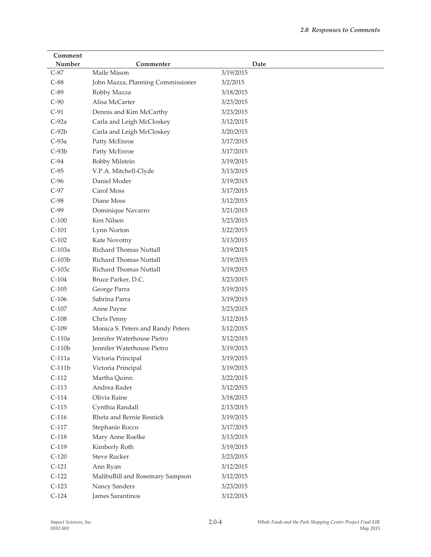| Comment  |                                   |           |
|----------|-----------------------------------|-----------|
| Number   | Commenter                         | Date      |
| $C-87$   | Maile Mason                       | 3/19/2015 |
| $C-88$   | John Mazza, Planning Commissioner | 3/2/2015  |
| $C-89$   | Robby Mazza                       | 3/18/2015 |
| $C-90$   | Alisa McCarter                    | 3/23/2015 |
| $C-91$   | Dennis and Kim McCarthy           | 3/23/2015 |
| $C-92a$  | Carla and Leigh McCloskey         | 3/12/2015 |
| $C-92b$  | Carla and Leigh McCloskey         | 3/20/2015 |
| $C-93a$  | Patty McEnroe                     | 3/17/2015 |
| $C-93b$  | Patty McEnroe                     | 3/17/2015 |
| $C-94$   | <b>Bobby Milstein</b>             | 3/19/2015 |
| $C-95$   | V.P.A. Mitchell-Clyde             | 3/13/2015 |
| $C-96$   | Daniel Moder                      | 3/19/2015 |
| $C-97$   | Carol Moss                        | 3/17/2015 |
| $C-98$   | Diane Moss                        | 3/12/2015 |
| $C-99$   | Dominique Navarro                 | 3/21/2015 |
| $C-100$  | Ken Nilsen                        | 3/23/2015 |
| $C-101$  | Lynn Norton                       | 3/22/2015 |
| $C-102$  | Kate Novotny                      | 3/13/2015 |
| C-103a   | Richard Thomas Nuttall            | 3/19/2015 |
| $C-103b$ | Richard Thomas Nuttall            | 3/19/2015 |
| $C-103c$ | Richard Thomas Nuttall            | 3/19/2015 |
| $C-104$  | Bruce Parker, D.C.                | 3/23/2015 |
| $C-105$  | George Parra                      | 3/19/2015 |
| $C-106$  | Sabrina Parra                     | 3/19/2015 |
| $C-107$  | Anne Payne                        | 3/23/2015 |
| $C-108$  | Chris Penny                       | 3/12/2015 |
| $C-109$  | Monica S. Peters and Randy Peters | 3/12/2015 |
| $C-110a$ | Jennifer Waterhouse Pietro        | 3/12/2015 |
| $C-110b$ | Jennifer Waterhouse Pietro        | 3/19/2015 |
| $C-111a$ | Victoria Principal                | 3/19/2015 |
| $C-111b$ | Victoria Principal                | 3/19/2015 |
| $C-112$  | Martha Quinn                      | 3/22/2015 |
| $C-113$  | Andrea Rader                      | 3/12/2015 |
| $C-114$  | Olivia Raine                      | 3/18/2015 |
| $C-115$  | Cynthia Randall                   | 2/13/2015 |
| $C-116$  | Rheta and Bernie Resnick          | 3/19/2015 |
| $C-117$  | Stephanie Rocco                   | 3/17/2015 |
| $C-118$  | Mary Anne Roelke                  | 3/13/2015 |
| $C-119$  | Kimberly Roth                     | 3/19/2015 |
| $C-120$  | <b>Steve Rucker</b>               | 3/23/2015 |
| $C-121$  | Ann Ryan                          | 3/12/2015 |
| $C-122$  | MalibuBill and Rosemary Sampson   | 3/12/2015 |
| $C-123$  | Nancy Sanders                     | 3/23/2015 |
| $C-124$  | James Sarantinos                  | 3/12/2015 |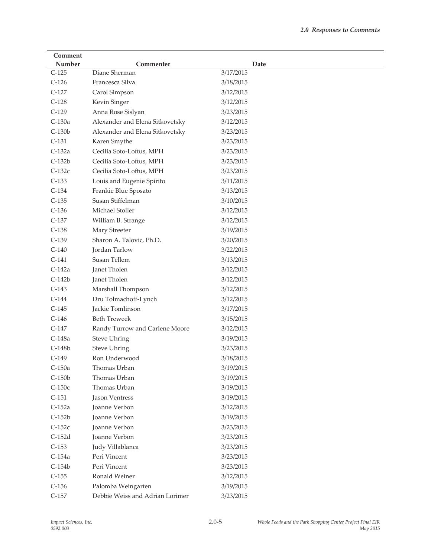| Comment  |                                 |           |
|----------|---------------------------------|-----------|
| Number   | Commenter                       | Date      |
| $C-125$  | Diane Sherman                   | 3/17/2015 |
| $C-126$  | Francesca Silva                 | 3/18/2015 |
| $C-127$  | Carol Simpson                   | 3/12/2015 |
| $C-128$  | Kevin Singer                    | 3/12/2015 |
| $C-129$  | Anna Rose Sislyan               | 3/23/2015 |
| C-130a   | Alexander and Elena Sitkovetsky | 3/12/2015 |
| $C-130b$ | Alexander and Elena Sitkovetsky | 3/23/2015 |
| $C-131$  | Karen Smythe                    | 3/23/2015 |
| $C-132a$ | Cecilia Soto-Loftus, MPH        | 3/23/2015 |
| $C-132b$ | Cecilia Soto-Loftus, MPH        | 3/23/2015 |
| $C-132c$ | Cecilia Soto-Loftus, MPH        | 3/23/2015 |
| $C-133$  | Louis and Eugenie Spirito       | 3/11/2015 |
| $C-134$  | Frankie Blue Sposato            | 3/13/2015 |
| $C-135$  | Susan Stiffelman                | 3/10/2015 |
| $C-136$  | Michael Stoller                 | 3/12/2015 |
| $C-137$  | William B. Strange              | 3/12/2015 |
| $C-138$  | Mary Streeter                   | 3/19/2015 |
| $C-139$  | Sharon A. Talovic, Ph.D.        | 3/20/2015 |
| $C-140$  | <b>Jordan Tarlow</b>            | 3/22/2015 |
| $C-141$  | Susan Tellem                    | 3/13/2015 |
| $C-142a$ | Janet Tholen                    | 3/12/2015 |
| $C-142b$ | Janet Tholen                    | 3/12/2015 |
| $C-143$  | Marshall Thompson               | 3/12/2015 |
| $C-144$  | Dru Tolmachoff-Lynch            | 3/12/2015 |
| $C-145$  | Jackie Tomlinson                | 3/17/2015 |
| $C-146$  | <b>Beth Treweek</b>             | 3/15/2015 |
| $C-147$  | Randy Turrow and Carlene Moore  | 3/12/2015 |
| C-148a   | <b>Steve Uhring</b>             | 3/19/2015 |
| $C-148b$ | <b>Steve Uhring</b>             | 3/23/2015 |
| $C-149$  | Ron Underwood                   | 3/18/2015 |
| $C-150a$ | Thomas Urban                    | 3/19/2015 |
| $C-150b$ | Thomas Urban                    | 3/19/2015 |
| $C-150c$ | Thomas Urban                    | 3/19/2015 |
| $C-151$  | <b>Jason Ventress</b>           | 3/19/2015 |
| $C-152a$ | Joanne Verbon                   | 3/12/2015 |
| $C-152b$ | Joanne Verbon                   | 3/19/2015 |
| $C-152c$ | Joanne Verbon                   | 3/23/2015 |
| $C-152d$ | Joanne Verbon                   | 3/23/2015 |
| $C-153$  | Judy Villablanca                | 3/23/2015 |
| C-154a   | Peri Vincent                    | 3/23/2015 |
| $C-154b$ | Peri Vincent                    | 3/23/2015 |
| $C-155$  | Ronald Weiner                   | 3/12/2015 |
| $C-156$  | Palomba Weingarten              | 3/19/2015 |
| $C-157$  | Debbie Weiss and Adrian Lorimer | 3/23/2015 |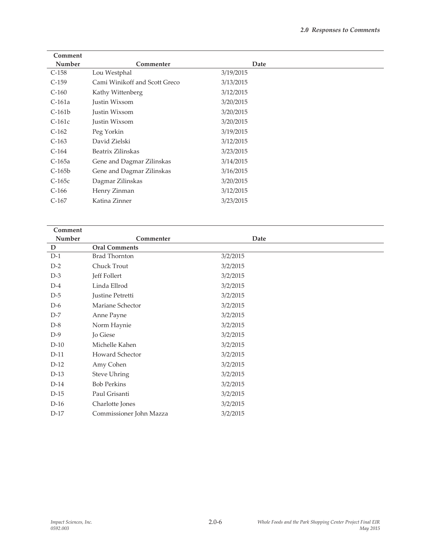| Comment |                         |          |
|---------|-------------------------|----------|
| Number  | Commenter               | Date     |
| D       | <b>Oral Comments</b>    |          |
| $D-1$   | <b>Brad Thornton</b>    | 3/2/2015 |
| $D-2$   | Chuck Trout             | 3/2/2015 |
| $D-3$   | Jeff Follert            | 3/2/2015 |
| $D-4$   | Linda Ellrod            | 3/2/2015 |
| $D-5$   | Justine Petretti        | 3/2/2015 |
| $D-6$   | Mariane Schector        | 3/2/2015 |
| $D-7$   | Anne Payne              | 3/2/2015 |
| $D-8$   | Norm Haynie             | 3/2/2015 |
| $D-9$   | Jo Giese                | 3/2/2015 |
| $D-10$  | Michelle Kahen          | 3/2/2015 |
| $D-11$  | <b>Howard Schector</b>  | 3/2/2015 |
| $D-12$  | Amy Cohen               | 3/2/2015 |
| $D-13$  | <b>Steve Uhring</b>     | 3/2/2015 |
| $D-14$  | <b>Bob Perkins</b>      | 3/2/2015 |
| $D-15$  | Paul Grisanti           | 3/2/2015 |
| $D-16$  | Charlotte Jones         | 3/2/2015 |
| $D-17$  | Commissioner John Mazza | 3/2/2015 |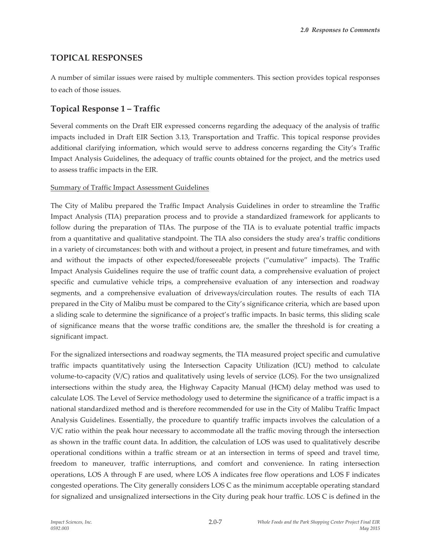## **TOPICAL RESPONSES**

A number of similar issues were raised by multiple commenters. This section provides topical responses to each of those issues.

# **Topical Response 1 – Traffic**

Several comments on the Draft EIR expressed concerns regarding the adequacy of the analysis of traffic impacts included in Draft EIR Section 3.13, Transportation and Traffic. This topical response provides additional clarifying information, which would serve to address concerns regarding the City's Traffic Impact Analysis Guidelines, the adequacy of traffic counts obtained for the project, and the metrics used to assess traffic impacts in the EIR.

### Summary of Traffic Impact Assessment Guidelines

The City of Malibu prepared the Traffic Impact Analysis Guidelines in order to streamline the Traffic Impact Analysis (TIA) preparation process and to provide a standardized framework for applicants to follow during the preparation of TIAs. The purpose of the TIA is to evaluate potential traffic impacts from a quantitative and qualitative standpoint. The TIA also considers the study area's traffic conditions in a variety of circumstances: both with and without a project, in present and future timeframes, and with and without the impacts of other expected/foreseeable projects ("cumulative" impacts). The Traffic Impact Analysis Guidelines require the use of traffic count data, a comprehensive evaluation of project specific and cumulative vehicle trips, a comprehensive evaluation of any intersection and roadway segments, and a comprehensive evaluation of driveways/circulation routes. The results of each TIA prepared in the City of Malibu must be compared to the City's significance criteria, which are based upon a sliding scale to determine the significance of a project's traffic impacts. In basic terms, this sliding scale of significance means that the worse traffic conditions are, the smaller the threshold is for creating a significant impact.

For the signalized intersections and roadway segments, the TIA measured project specific and cumulative traffic impacts quantitatively using the Intersection Capacity Utilization (ICU) method to calculate volume-to-capacity (V/C) ratios and qualitatively using levels of service (LOS). For the two unsignalized intersections within the study area, the Highway Capacity Manual (HCM) delay method was used to calculate LOS. The Level of Service methodology used to determine the significance of a traffic impact is a national standardized method and is therefore recommended for use in the City of Malibu Traffic Impact Analysis Guidelines. Essentially, the procedure to quantify traffic impacts involves the calculation of a V/C ratio within the peak hour necessary to accommodate all the traffic moving through the intersection as shown in the traffic count data. In addition, the calculation of LOS was used to qualitatively describe operational conditions within a traffic stream or at an intersection in terms of speed and travel time, freedom to maneuver, traffic interruptions, and comfort and convenience. In rating intersection operations, LOS A through F are used, where LOS A indicates free flow operations and LOS F indicates congested operations. The City generally considers LOS C as the minimum acceptable operating standard for signalized and unsignalized intersections in the City during peak hour traffic. LOS C is defined in the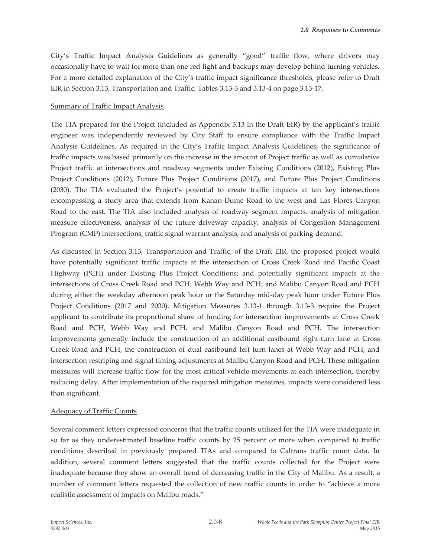City's Traffic Impact Analysis Guidelines as generally "good" traffic flow, where drivers may occasionally have to wait for more than one red light and backups may develop behind turning vehicles. For a more detailed explanation of the City's traffic impact significance thresholds, please refer to Draft EIR in Section 3.13, Transportation and Traffic, Tables 3.13-3 and 3.13-4 on page 3.13-17.

#### Summary of Traffic Impact Analysis

The TIA prepared for the Project (included as Appendix 3.13 in the Draft EIR) by the applicant's traffic engineer was independently reviewed by City Staff to ensure compliance with the Traffic Impact Analysis Guidelines. As required in the City's Traffic Impact Analysis Guidelines, the significance of traffic impacts was based primarily on the increase in the amount of Project traffic as well as cumulative Project traffic at intersections and roadway segments under Existing Conditions (2012), Existing Plus Project Conditions (2012), Future Plus Project Conditions (2017), and Future Plus Project Conditions (2030). The TIA evaluated the Project's potential to create traffic impacts at ten key intersections encompassing a study area that extends from Kanan-Dume Road to the west and Las Flores Canyon Road to the east. The TIA also included analysis of roadway segment impacts, analysis of mitigation measure effectiveness, analysis of the future driveway capacity, analysis of Congestion Management Program (CMP) intersections, traffic signal warrant analysis, and analysis of parking demand.

As discussed in Section 3.13, Transportation and Traffic, of the Draft EIR, the proposed project would have potentially significant traffic impacts at the intersection of Cross Creek Road and Pacific Coast Highway (PCH) under Existing Plus Project Conditions; and potentially significant impacts at the intersections of Cross Creek Road and PCH; Webb Way and PCH; and Malibu Canyon Road and PCH during either the weekday afternoon peak hour or the Saturday mid-day peak hour under Future Plus Project Conditions (2017 and 2030). Mitigation Measures 3.13-1 through 3.13-3 require the Project applicant to contribute its proportional share of funding for intersection improvements at Cross Creek Road and PCH, Webb Way and PCH, and Malibu Canyon Road and PCH. The intersection improvements generally include the construction of an additional eastbound right-turn lane at Cross Creek Road and PCH, the construction of dual eastbound left turn lanes at Webb Way and PCH, and intersection restriping and signal timing adjustments at Malibu Canyon Road and PCH. These mitigation measures will increase traffic flow for the most critical vehicle movements at each intersection, thereby reducing delay. After implementation of the required mitigation measures, impacts were considered less than significant.

### Adequacy of Traffic Counts

Several comment letters expressed concerns that the traffic counts utilized for the TIA were inadequate in so far as they underestimated baseline traffic counts by 25 percent or more when compared to traffic conditions described in previously prepared TIAs and compared to Caltrans traffic count data. In addition, several comment letters suggested that the traffic counts collected for the Project were inadequate because they show an overall trend of decreasing traffic in the City of Malibu. As a result, a number of comment letters requested the collection of new traffic counts in order to "achieve a more realistic assessment of impacts on Malibu roads."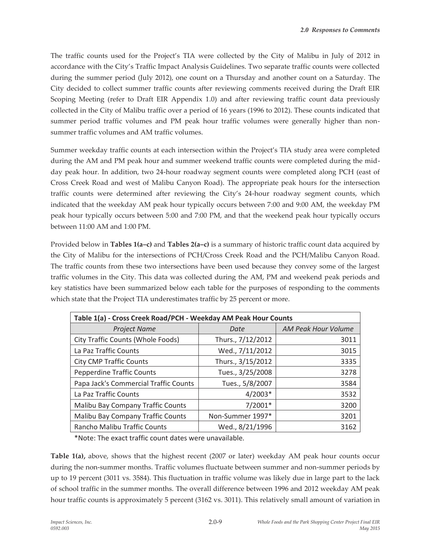The traffic counts used for the Project's TIA were collected by the City of Malibu in July of 2012 in accordance with the City's Traffic Impact Analysis Guidelines. Two separate traffic counts were collected during the summer period (July 2012), one count on a Thursday and another count on a Saturday. The City decided to collect summer traffic counts after reviewing comments received during the Draft EIR Scoping Meeting (refer to Draft EIR Appendix 1.0) and after reviewing traffic count data previously collected in the City of Malibu traffic over a period of 16 years (1996 to 2012). These counts indicated that summer period traffic volumes and PM peak hour traffic volumes were generally higher than nonsummer traffic volumes and AM traffic volumes.

Summer weekday traffic counts at each intersection within the Project's TIA study area were completed during the AM and PM peak hour and summer weekend traffic counts were completed during the midday peak hour. In addition, two 24-hour roadway segment counts were completed along PCH (east of Cross Creek Road and west of Malibu Canyon Road). The appropriate peak hours for the intersection traffic counts were determined after reviewing the City's 24-hour roadway segment counts, which indicated that the weekday AM peak hour typically occurs between 7:00 and 9:00 AM, the weekday PM peak hour typically occurs between 5:00 and 7:00 PM, and that the weekend peak hour typically occurs between 11:00 AM and 1:00 PM.

Provided below in **Tables 1(a–c)** and **Tables 2(a–c)** is a summary of historic traffic count data acquired by the City of Malibu for the intersections of PCH/Cross Creek Road and the PCH/Malibu Canyon Road. The traffic counts from these two intersections have been used because they convey some of the largest traffic volumes in the City. This data was collected during the AM, PM and weekend peak periods and key statistics have been summarized below each table for the purposes of responding to the comments which state that the Project TIA underestimates traffic by 25 percent or more.

| Table 1(a) - Cross Creek Road/PCH - Weekday AM Peak Hour Counts |                   |                            |  |
|-----------------------------------------------------------------|-------------------|----------------------------|--|
| <b>Project Name</b>                                             | Date              | <b>AM Peak Hour Volume</b> |  |
| City Traffic Counts (Whole Foods)                               | Thurs., 7/12/2012 | 3011                       |  |
| La Paz Traffic Counts                                           | Wed., 7/11/2012   | 3015                       |  |
| <b>City CMP Traffic Counts</b>                                  | Thurs., 3/15/2012 | 3335                       |  |
| <b>Pepperdine Traffic Counts</b>                                | Tues., 3/25/2008  | 3278                       |  |
| Papa Jack's Commercial Traffic Counts                           | Tues., 5/8/2007   | 3584                       |  |
| La Paz Traffic Counts                                           | $4/2003*$         | 3532                       |  |
| Malibu Bay Company Traffic Counts                               | $7/2001*$         | 3200                       |  |
| <b>Malibu Bay Company Traffic Counts</b>                        | Non-Summer 1997*  | 3201                       |  |
| Rancho Malibu Traffic Counts                                    | Wed., 8/21/1996   | 3162                       |  |

\*Note: The exact traffic count dates were unavailable.

**Table 1(a),** above, shows that the highest recent (2007 or later) weekday AM peak hour counts occur during the non-summer months. Traffic volumes fluctuate between summer and non-summer periods by up to 19 percent (3011 vs. 3584). This fluctuation in traffic volume was likely due in large part to the lack of school traffic in the summer months. The overall difference between 1996 and 2012 weekday AM peak hour traffic counts is approximately 5 percent (3162 vs. 3011). This relatively small amount of variation in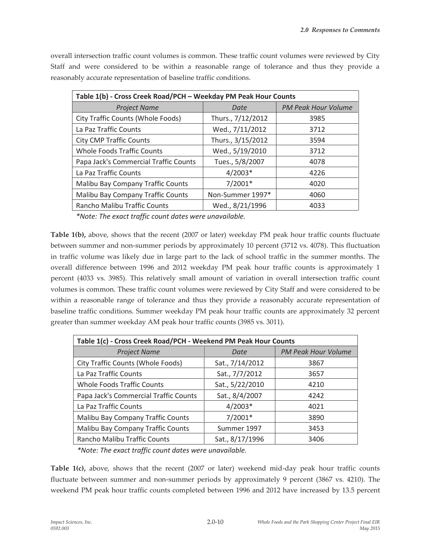overall intersection traffic count volumes is common. These traffic count volumes were reviewed by City Staff and were considered to be within a reasonable range of tolerance and thus they provide a reasonably accurate representation of baseline traffic conditions.

| Table 1(b) - Cross Creek Road/PCH - Weekday PM Peak Hour Counts |                   |                            |  |
|-----------------------------------------------------------------|-------------------|----------------------------|--|
| <b>Project Name</b>                                             | Date              | <b>PM Peak Hour Volume</b> |  |
| City Traffic Counts (Whole Foods)                               | Thurs., 7/12/2012 | 3985                       |  |
| La Paz Traffic Counts                                           | Wed., 7/11/2012   | 3712                       |  |
| <b>City CMP Traffic Counts</b>                                  | Thurs., 3/15/2012 | 3594                       |  |
| <b>Whole Foods Traffic Counts</b>                               | Wed., 5/19/2010   | 3712                       |  |
| Papa Jack's Commercial Traffic Counts                           | Tues., 5/8/2007   | 4078                       |  |
| La Paz Traffic Counts                                           | $4/2003*$         | 4226                       |  |
| Malibu Bay Company Traffic Counts                               | $7/2001*$         | 4020                       |  |
| Malibu Bay Company Traffic Counts                               | Non-Summer 1997*  | 4060                       |  |
| Rancho Malibu Traffic Counts                                    | Wed., 8/21/1996   | 4033                       |  |

*\*Note: The exact traffic count dates were unavailable.* 

**Table 1(b),** above, shows that the recent (2007 or later) weekday PM peak hour traffic counts fluctuate between summer and non-summer periods by approximately 10 percent (3712 vs. 4078). This fluctuation in traffic volume was likely due in large part to the lack of school traffic in the summer months. The overall difference between 1996 and 2012 weekday PM peak hour traffic counts is approximately 1 percent (4033 vs. 3985). This relatively small amount of variation in overall intersection traffic count volumes is common. These traffic count volumes were reviewed by City Staff and were considered to be within a reasonable range of tolerance and thus they provide a reasonably accurate representation of baseline traffic conditions. Summer weekday PM peak hour traffic counts are approximately 32 percent greater than summer weekday AM peak hour traffic counts (3985 vs. 3011).

| Table 1(c) - Cross Creek Road/PCH - Weekend PM Peak Hour Counts |                 |                            |  |
|-----------------------------------------------------------------|-----------------|----------------------------|--|
| <b>Project Name</b>                                             | Date            | <b>PM Peak Hour Volume</b> |  |
| City Traffic Counts (Whole Foods)                               | Sat., 7/14/2012 | 3867                       |  |
| La Paz Traffic Counts                                           | Sat., 7/7/2012  | 3657                       |  |
| <b>Whole Foods Traffic Counts</b>                               | Sat., 5/22/2010 | 4210                       |  |
| Papa Jack's Commercial Traffic Counts                           | Sat., 8/4/2007  | 4242                       |  |
| La Paz Traffic Counts                                           | $4/2003*$       | 4021                       |  |
| Malibu Bay Company Traffic Counts                               | $7/2001*$       | 3890                       |  |
| Malibu Bay Company Traffic Counts                               | Summer 1997     | 3453                       |  |
| Rancho Malibu Traffic Counts                                    | Sat., 8/17/1996 | 3406                       |  |

*\*Note: The exact traffic count dates were unavailable.* 

**Table 1(c),** above, shows that the recent (2007 or later) weekend mid-day peak hour traffic counts fluctuate between summer and non-summer periods by approximately 9 percent (3867 vs. 4210). The weekend PM peak hour traffic counts completed between 1996 and 2012 have increased by 13.5 percent

2.0-10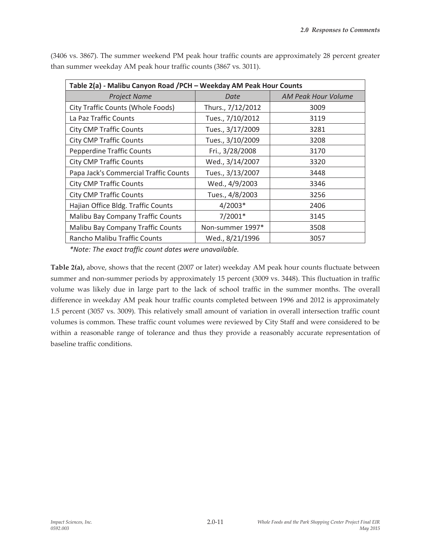| Table 2(a) - Malibu Canyon Road / PCH - Weekday AM Peak Hour Counts |                   |                     |  |
|---------------------------------------------------------------------|-------------------|---------------------|--|
| <b>Project Name</b>                                                 | Date              | AM Peak Hour Volume |  |
| City Traffic Counts (Whole Foods)                                   | Thurs., 7/12/2012 | 3009                |  |
| La Paz Traffic Counts                                               | Tues., 7/10/2012  | 3119                |  |
| <b>City CMP Traffic Counts</b>                                      | Tues., 3/17/2009  | 3281                |  |
| <b>City CMP Traffic Counts</b>                                      | Tues., 3/10/2009  | 3208                |  |
| <b>Pepperdine Traffic Counts</b>                                    | Fri., 3/28/2008   | 3170                |  |
| <b>City CMP Traffic Counts</b>                                      | Wed., 3/14/2007   | 3320                |  |
| Papa Jack's Commercial Traffic Counts                               | Tues., 3/13/2007  | 3448                |  |
| <b>City CMP Traffic Counts</b>                                      | Wed., 4/9/2003    | 3346                |  |
| <b>City CMP Traffic Counts</b>                                      | Tues., 4/8/2003   | 3256                |  |
| Hajian Office Bldg. Traffic Counts                                  | $4/2003*$         | 2406                |  |
| Malibu Bay Company Traffic Counts                                   | $7/2001*$         | 3145                |  |
| Malibu Bay Company Traffic Counts                                   | Non-summer 1997*  | 3508                |  |
| Rancho Malibu Traffic Counts                                        | Wed., 8/21/1996   | 3057                |  |

(3406 vs. 3867). The summer weekend PM peak hour traffic counts are approximately 28 percent greater than summer weekday AM peak hour traffic counts (3867 vs. 3011).

*\*Note: The exact traffic count dates were unavailable.* 

**Table 2(a),** above, shows that the recent (2007 or later) weekday AM peak hour counts fluctuate between summer and non-summer periods by approximately 15 percent (3009 vs. 3448). This fluctuation in traffic volume was likely due in large part to the lack of school traffic in the summer months. The overall difference in weekday AM peak hour traffic counts completed between 1996 and 2012 is approximately 1.5 percent (3057 vs. 3009). This relatively small amount of variation in overall intersection traffic count volumes is common. These traffic count volumes were reviewed by City Staff and were considered to be within a reasonable range of tolerance and thus they provide a reasonably accurate representation of baseline traffic conditions.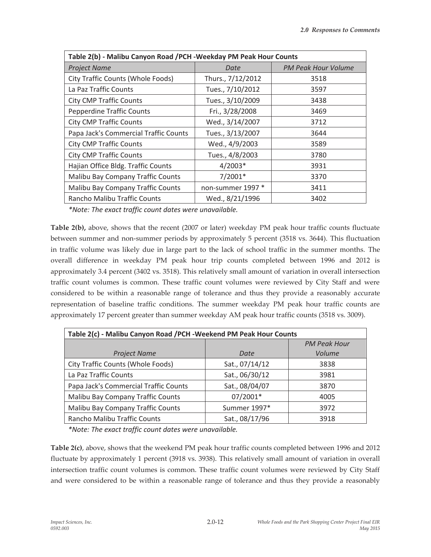| Table 2(b) - Malibu Canyon Road / PCH - Weekday PM Peak Hour Counts |                   |                            |  |
|---------------------------------------------------------------------|-------------------|----------------------------|--|
| <b>Project Name</b>                                                 | Date              | <b>PM Peak Hour Volume</b> |  |
| City Traffic Counts (Whole Foods)                                   | Thurs., 7/12/2012 | 3518                       |  |
| La Paz Traffic Counts                                               | Tues., 7/10/2012  | 3597                       |  |
| <b>City CMP Traffic Counts</b>                                      | Tues., 3/10/2009  | 3438                       |  |
| <b>Pepperdine Traffic Counts</b>                                    | Fri., 3/28/2008   | 3469                       |  |
| <b>City CMP Traffic Counts</b>                                      | Wed., 3/14/2007   | 3712                       |  |
| Papa Jack's Commercial Traffic Counts                               | Tues., 3/13/2007  | 3644                       |  |
| <b>City CMP Traffic Counts</b>                                      | Wed., 4/9/2003    | 3589                       |  |
| <b>City CMP Traffic Counts</b>                                      | Tues., 4/8/2003   | 3780                       |  |
| Hajian Office Bldg. Traffic Counts                                  | $4/2003*$         | 3931                       |  |
| <b>Malibu Bay Company Traffic Counts</b>                            | $7/2001*$         | 3370                       |  |
| Malibu Bay Company Traffic Counts                                   | non-summer 1997 * | 3411                       |  |
| Rancho Malibu Traffic Counts                                        | Wed., 8/21/1996   | 3402                       |  |

*\*Note: The exact traffic count dates were unavailable.* 

**Table 2(b),** above, shows that the recent (2007 or later) weekday PM peak hour traffic counts fluctuate between summer and non-summer periods by approximately 5 percent (3518 vs. 3644). This fluctuation in traffic volume was likely due in large part to the lack of school traffic in the summer months. The overall difference in weekday PM peak hour trip counts completed between 1996 and 2012 is approximately 3.4 percent (3402 vs. 3518). This relatively small amount of variation in overall intersection traffic count volumes is common. These traffic count volumes were reviewed by City Staff and were considered to be within a reasonable range of tolerance and thus they provide a reasonably accurate representation of baseline traffic conditions. The summer weekday PM peak hour traffic counts are approximately 17 percent greater than summer weekday AM peak hour traffic counts (3518 vs. 3009).

| Table 2(c) - Malibu Canyon Road / PCH - Weekend PM Peak Hour Counts |                |                     |  |
|---------------------------------------------------------------------|----------------|---------------------|--|
|                                                                     |                | <b>PM Peak Hour</b> |  |
| <b>Project Name</b>                                                 | Date           | Volume              |  |
| City Traffic Counts (Whole Foods)                                   | Sat., 07/14/12 | 3838                |  |
| La Paz Traffic Counts                                               | Sat., 06/30/12 | 3981                |  |
| Papa Jack's Commercial Traffic Counts                               | Sat., 08/04/07 | 3870                |  |
| Malibu Bay Company Traffic Counts                                   | 07/2001*       | 4005                |  |
| Malibu Bay Company Traffic Counts                                   | Summer 1997*   | 3972                |  |
| Rancho Malibu Traffic Counts                                        | Sat., 08/17/96 | 3918                |  |

*\*Note: The exact traffic count dates were unavailable.* 

**Table 2(c)**, above, shows that the weekend PM peak hour traffic counts completed between 1996 and 2012 fluctuate by approximately 1 percent (3918 vs. 3938). This relatively small amount of variation in overall intersection traffic count volumes is common. These traffic count volumes were reviewed by City Staff and were considered to be within a reasonable range of tolerance and thus they provide a reasonably

2.0-12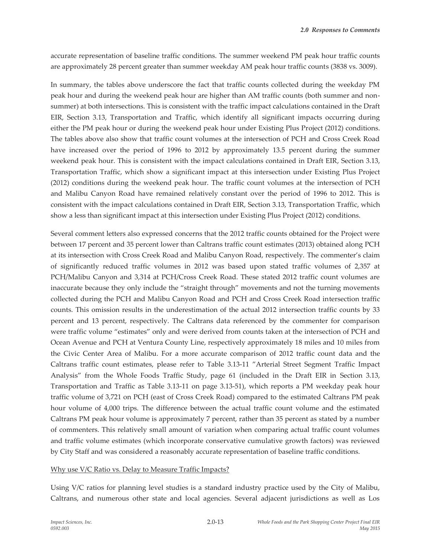accurate representation of baseline traffic conditions. The summer weekend PM peak hour traffic counts are approximately 28 percent greater than summer weekday AM peak hour traffic counts (3838 vs. 3009).

In summary, the tables above underscore the fact that traffic counts collected during the weekday PM peak hour and during the weekend peak hour are higher than AM traffic counts (both summer and nonsummer) at both intersections. This is consistent with the traffic impact calculations contained in the Draft EIR, Section 3.13, Transportation and Traffic, which identify all significant impacts occurring during either the PM peak hour or during the weekend peak hour under Existing Plus Project (2012) conditions. The tables above also show that traffic count volumes at the intersection of PCH and Cross Creek Road have increased over the period of 1996 to 2012 by approximately 13.5 percent during the summer weekend peak hour. This is consistent with the impact calculations contained in Draft EIR, Section 3.13, Transportation Traffic, which show a significant impact at this intersection under Existing Plus Project (2012) conditions during the weekend peak hour. The traffic count volumes at the intersection of PCH and Malibu Canyon Road have remained relatively constant over the period of 1996 to 2012. This is consistent with the impact calculations contained in Draft EIR, Section 3.13, Transportation Traffic, which show a less than significant impact at this intersection under Existing Plus Project (2012) conditions.

Several comment letters also expressed concerns that the 2012 traffic counts obtained for the Project were between 17 percent and 35 percent lower than Caltrans traffic count estimates (2013) obtained along PCH at its intersection with Cross Creek Road and Malibu Canyon Road, respectively. The commenter's claim of significantly reduced traffic volumes in 2012 was based upon stated traffic volumes of 2,357 at PCH/Malibu Canyon and 3,314 at PCH/Cross Creek Road. These stated 2012 traffic count volumes are inaccurate because they only include the "straight through" movements and not the turning movements collected during the PCH and Malibu Canyon Road and PCH and Cross Creek Road intersection traffic counts. This omission results in the underestimation of the actual 2012 intersection traffic counts by 33 percent and 13 percent, respectively. The Caltrans data referenced by the commenter for comparison were traffic volume "estimates" only and were derived from counts taken at the intersection of PCH and Ocean Avenue and PCH at Ventura County Line, respectively approximately 18 miles and 10 miles from the Civic Center Area of Malibu. For a more accurate comparison of 2012 traffic count data and the Caltrans traffic count estimates, please refer to Table 3.13-11 "Arterial Street Segment Traffic Impact Analysis" from the Whole Foods Traffic Study, page 61 (included in the Draft EIR in Section 3.13, Transportation and Traffic as Table 3.13-11 on page 3.13-51), which reports a PM weekday peak hour traffic volume of 3,721 on PCH (east of Cross Creek Road) compared to the estimated Caltrans PM peak hour volume of 4,000 trips. The difference between the actual traffic count volume and the estimated Caltrans PM peak hour volume is approximately 7 percent, rather than 35 percent as stated by a number of commenters. This relatively small amount of variation when comparing actual traffic count volumes and traffic volume estimates (which incorporate conservative cumulative growth factors) was reviewed by City Staff and was considered a reasonably accurate representation of baseline traffic conditions.

#### Why use V/C Ratio vs. Delay to Measure Traffic Impacts?

Using V/C ratios for planning level studies is a standard industry practice used by the City of Malibu, Caltrans, and numerous other state and local agencies. Several adjacent jurisdictions as well as Los

2.0-13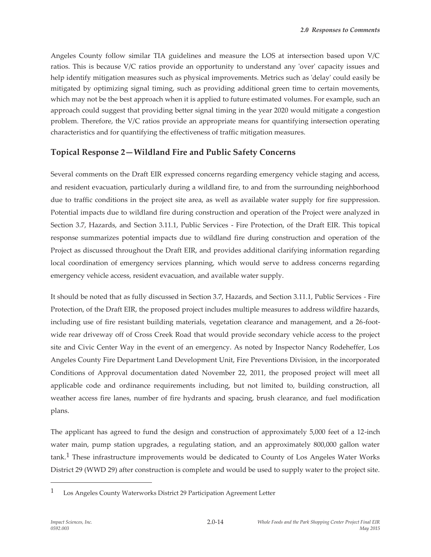Angeles County follow similar TIA guidelines and measure the LOS at intersection based upon V/C ratios. This is because V/C ratios provide an opportunity to understand any 'over' capacity issues and help identify mitigation measures such as physical improvements. Metrics such as 'delay' could easily be mitigated by optimizing signal timing, such as providing additional green time to certain movements, which may not be the best approach when it is applied to future estimated volumes. For example, such an approach could suggest that providing better signal timing in the year 2020 would mitigate a congestion problem. Therefore, the V/C ratios provide an appropriate means for quantifying intersection operating characteristics and for quantifying the effectiveness of traffic mitigation measures.

## **Topical Response 2—Wildland Fire and Public Safety Concerns**

Several comments on the Draft EIR expressed concerns regarding emergency vehicle staging and access, and resident evacuation, particularly during a wildland fire, to and from the surrounding neighborhood due to traffic conditions in the project site area, as well as available water supply for fire suppression. Potential impacts due to wildland fire during construction and operation of the Project were analyzed in Section 3.7, Hazards, and Section 3.11.1, Public Services - Fire Protection, of the Draft EIR. This topical response summarizes potential impacts due to wildland fire during construction and operation of the Project as discussed throughout the Draft EIR, and provides additional clarifying information regarding local coordination of emergency services planning, which would serve to address concerns regarding emergency vehicle access, resident evacuation, and available water supply.

It should be noted that as fully discussed in Section 3.7, Hazards, and Section 3.11.1, Public Services - Fire Protection, of the Draft EIR, the proposed project includes multiple measures to address wildfire hazards, including use of fire resistant building materials, vegetation clearance and management, and a 26-footwide rear driveway off of Cross Creek Road that would provide secondary vehicle access to the project site and Civic Center Way in the event of an emergency. As noted by Inspector Nancy Rodeheffer, Los Angeles County Fire Department Land Development Unit, Fire Preventions Division, in the incorporated Conditions of Approval documentation dated November 22, 2011, the proposed project will meet all applicable code and ordinance requirements including, but not limited to, building construction, all weather access fire lanes, number of fire hydrants and spacing, brush clearance, and fuel modification plans.

The applicant has agreed to fund the design and construction of approximately 5,000 feet of a 12-inch water main, pump station upgrades, a regulating station, and an approximately 800,000 gallon water tank.1 These infrastructure improvements would be dedicated to County of Los Angeles Water Works District 29 (WWD 29) after construction is complete and would be used to supply water to the project site.

2.0-14

<sup>1</sup> Los Angeles County Waterworks District 29 Participation Agreement Letter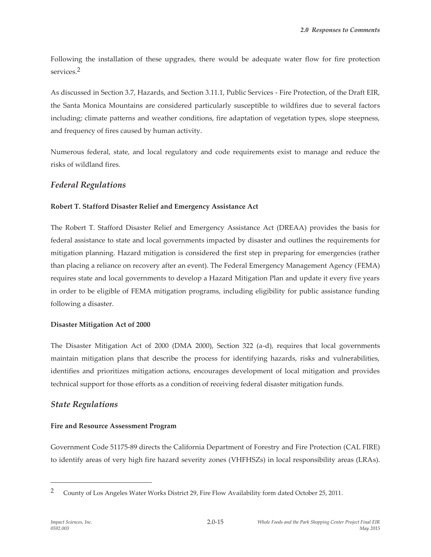Following the installation of these upgrades, there would be adequate water flow for fire protection services.2

As discussed in Section 3.7, Hazards, and Section 3.11.1, Public Services - Fire Protection, of the Draft EIR, the Santa Monica Mountains are considered particularly susceptible to wildfires due to several factors including; climate patterns and weather conditions, fire adaptation of vegetation types, slope steepness, and frequency of fires caused by human activity.

Numerous federal, state, and local regulatory and code requirements exist to manage and reduce the risks of wildland fires.

## *Federal Regulations*

### **Robert T. Stafford Disaster Relief and Emergency Assistance Act**

The Robert T. Stafford Disaster Relief and Emergency Assistance Act (DREAA) provides the basis for federal assistance to state and local governments impacted by disaster and outlines the requirements for mitigation planning. Hazard mitigation is considered the first step in preparing for emergencies (rather than placing a reliance on recovery after an event). The Federal Emergency Management Agency (FEMA) requires state and local governments to develop a Hazard Mitigation Plan and update it every five years in order to be eligible of FEMA mitigation programs, including eligibility for public assistance funding following a disaster.

### **Disaster Mitigation Act of 2000**

The Disaster Mitigation Act of 2000 (DMA 2000), Section 322 (a-d), requires that local governments maintain mitigation plans that describe the process for identifying hazards, risks and vulnerabilities, identifies and prioritizes mitigation actions, encourages development of local mitigation and provides technical support for those efforts as a condition of receiving federal disaster mitigation funds.

### *State Regulations*

### **Fire and Resource Assessment Program**

Government Code 51175-89 directs the California Department of Forestry and Fire Protection (CAL FIRE) to identify areas of very high fire hazard severity zones (VHFHSZs) in local responsibility areas (LRAs).

<sup>&</sup>lt;sup>2</sup> County of Los Angeles Water Works District 29, Fire Flow Availability form dated October 25, 2011.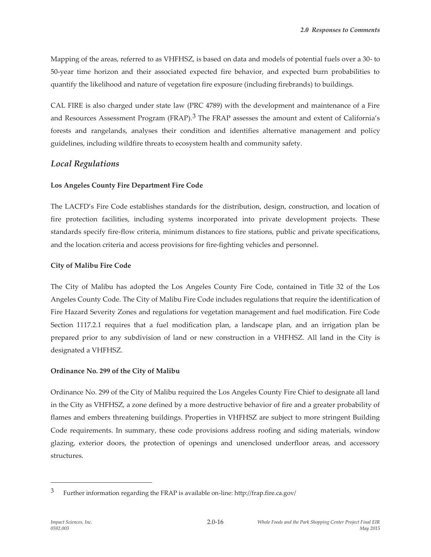Mapping of the areas, referred to as VHFHSZ, is based on data and models of potential fuels over a 30- to 50-year time horizon and their associated expected fire behavior, and expected burn probabilities to quantify the likelihood and nature of vegetation fire exposure (including firebrands) to buildings.

CAL FIRE is also charged under state law (PRC 4789) with the development and maintenance of a Fire and Resources Assessment Program (FRAP).<sup>3</sup> The FRAP assesses the amount and extent of California's forests and rangelands, analyses their condition and identifies alternative management and policy guidelines, including wildfire threats to ecosystem health and community safety.

## *Local Regulations*

### **Los Angeles County Fire Department Fire Code**

The LACFD's Fire Code establishes standards for the distribution, design, construction, and location of fire protection facilities, including systems incorporated into private development projects. These standards specify fire-flow criteria, minimum distances to fire stations, public and private specifications, and the location criteria and access provisions for fire-fighting vehicles and personnel.

### **City of Malibu Fire Code**

The City of Malibu has adopted the Los Angeles County Fire Code, contained in Title 32 of the Los Angeles County Code. The City of Malibu Fire Code includes regulations that require the identification of Fire Hazard Severity Zones and regulations for vegetation management and fuel modification. Fire Code Section 1117.2.1 requires that a fuel modification plan, a landscape plan, and an irrigation plan be prepared prior to any subdivision of land or new construction in a VHFHSZ. All land in the City is designated a VHFHSZ.

### **Ordinance No. 299 of the City of Malibu**

Ordinance No. 299 of the City of Malibu required the Los Angeles County Fire Chief to designate all land in the City as VHFHSZ, a zone defined by a more destructive behavior of fire and a greater probability of flames and embers threatening buildings. Properties in VHFHSZ are subject to more stringent Building Code requirements. In summary, these code provisions address roofing and siding materials, window glazing, exterior doors, the protection of openings and unenclosed underfloor areas, and accessory structures.

<sup>3</sup> Further information regarding the FRAP is available on-line: http://frap.fire.ca.gov/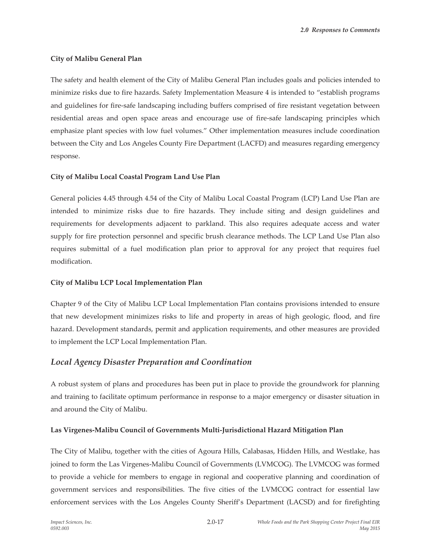#### **City of Malibu General Plan**

The safety and health element of the City of Malibu General Plan includes goals and policies intended to minimize risks due to fire hazards. Safety Implementation Measure 4 is intended to "establish programs and guidelines for fire-safe landscaping including buffers comprised of fire resistant vegetation between residential areas and open space areas and encourage use of fire-safe landscaping principles which emphasize plant species with low fuel volumes." Other implementation measures include coordination between the City and Los Angeles County Fire Department (LACFD) and measures regarding emergency response.

#### **City of Malibu Local Coastal Program Land Use Plan**

General policies 4.45 through 4.54 of the City of Malibu Local Coastal Program (LCP) Land Use Plan are intended to minimize risks due to fire hazards. They include siting and design guidelines and requirements for developments adjacent to parkland. This also requires adequate access and water supply for fire protection personnel and specific brush clearance methods. The LCP Land Use Plan also requires submittal of a fuel modification plan prior to approval for any project that requires fuel modification.

### **City of Malibu LCP Local Implementation Plan**

Chapter 9 of the City of Malibu LCP Local Implementation Plan contains provisions intended to ensure that new development minimizes risks to life and property in areas of high geologic, flood, and fire hazard. Development standards, permit and application requirements, and other measures are provided to implement the LCP Local Implementation Plan.

### *Local Agency Disaster Preparation and Coordination*

A robust system of plans and procedures has been put in place to provide the groundwork for planning and training to facilitate optimum performance in response to a major emergency or disaster situation in and around the City of Malibu.

### **Las Virgenes-Malibu Council of Governments Multi-Jurisdictional Hazard Mitigation Plan**

The City of Malibu, together with the cities of Agoura Hills, Calabasas, Hidden Hills, and Westlake, has joined to form the Las Virgenes-Malibu Council of Governments (LVMCOG). The LVMCOG was formed to provide a vehicle for members to engage in regional and cooperative planning and coordination of government services and responsibilities. The five cities of the LVMCOG contract for essential law enforcement services with the Los Angeles County Sheriff's Department (LACSD) and for firefighting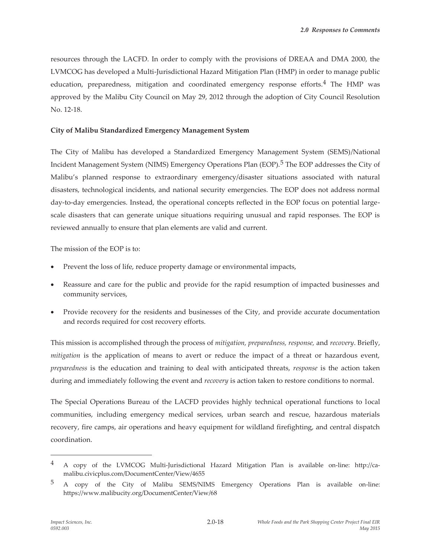resources through the LACFD. In order to comply with the provisions of DREAA and DMA 2000, the LVMCOG has developed a Multi-Jurisdictional Hazard Mitigation Plan (HMP) in order to manage public education, preparedness, mitigation and coordinated emergency response efforts.4 The HMP was approved by the Malibu City Council on May 29, 2012 through the adoption of City Council Resolution No. 12-18.

#### **City of Malibu Standardized Emergency Management System**

The City of Malibu has developed a Standardized Emergency Management System (SEMS)/National Incident Management System (NIMS) Emergency Operations Plan (EOP).5 The EOP addresses the City of Malibu's planned response to extraordinary emergency/disaster situations associated with natural disasters, technological incidents, and national security emergencies. The EOP does not address normal day-to-day emergencies. Instead, the operational concepts reflected in the EOP focus on potential largescale disasters that can generate unique situations requiring unusual and rapid responses. The EOP is reviewed annually to ensure that plan elements are valid and current.

The mission of the EOP is to:

- Prevent the loss of life, reduce property damage or environmental impacts,
- x Reassure and care for the public and provide for the rapid resumption of impacted businesses and community services,
- Provide recovery for the residents and businesses of the City, and provide accurate documentation and records required for cost recovery efforts.

This mission is accomplished through the process of *mitigation, preparedness, response,* and *recovery*. Briefly, *mitigation* is the application of means to avert or reduce the impact of a threat or hazardous event, *preparedness* is the education and training to deal with anticipated threats, *response* is the action taken during and immediately following the event and *recovery* is action taken to restore conditions to normal.

The Special Operations Bureau of the LACFD provides highly technical operational functions to local communities, including emergency medical services, urban search and rescue, hazardous materials recovery, fire camps, air operations and heavy equipment for wildland firefighting, and central dispatch coordination.

<sup>4</sup> A copy of the LVMCOG Multi-Jurisdictional Hazard Mitigation Plan is available on-line: http://camalibu.civicplus.com/DocumentCenter/View/4655

<sup>5</sup> A copy of the City of Malibu SEMS/NIMS Emergency Operations Plan is available on-line: https://www.malibucity.org/DocumentCenter/View/68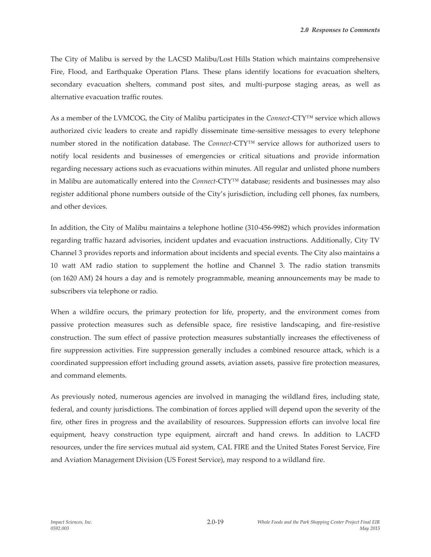The City of Malibu is served by the LACSD Malibu/Lost Hills Station which maintains comprehensive Fire, Flood, and Earthquake Operation Plans. These plans identify locations for evacuation shelters, secondary evacuation shelters, command post sites, and multi-purpose staging areas, as well as alternative evacuation traffic routes.

As a member of the LVMCOG, the City of Malibu participates in the *Connect*-CTY™ service which allows authorized civic leaders to create and rapidly disseminate time-sensitive messages to every telephone number stored in the notification database. The *Connect*-CTY™ service allows for authorized users to notify local residents and businesses of emergencies or critical situations and provide information regarding necessary actions such as evacuations within minutes. All regular and unlisted phone numbers in Malibu are automatically entered into the *Connect*-CTY™ database; residents and businesses may also register additional phone numbers outside of the City's jurisdiction, including cell phones, fax numbers, and other devices.

In addition, the City of Malibu maintains a telephone hotline (310-456-9982) which provides information regarding traffic hazard advisories, incident updates and evacuation instructions. Additionally, City TV Channel 3 provides reports and information about incidents and special events. The City also maintains a 10 watt AM radio station to supplement the hotline and Channel 3. The radio station transmits (on 1620 AM) 24 hours a day and is remotely programmable, meaning announcements may be made to subscribers via telephone or radio.

When a wildfire occurs, the primary protection for life, property, and the environment comes from passive protection measures such as defensible space, fire resistive landscaping, and fire-resistive construction. The sum effect of passive protection measures substantially increases the effectiveness of fire suppression activities. Fire suppression generally includes a combined resource attack, which is a coordinated suppression effort including ground assets, aviation assets, passive fire protection measures, and command elements.

As previously noted, numerous agencies are involved in managing the wildland fires, including state, federal, and county jurisdictions. The combination of forces applied will depend upon the severity of the fire, other fires in progress and the availability of resources. Suppression efforts can involve local fire equipment, heavy construction type equipment, aircraft and hand crews. In addition to LACFD resources, under the fire services mutual aid system, CAL FIRE and the United States Forest Service, Fire and Aviation Management Division (US Forest Service), may respond to a wildland fire.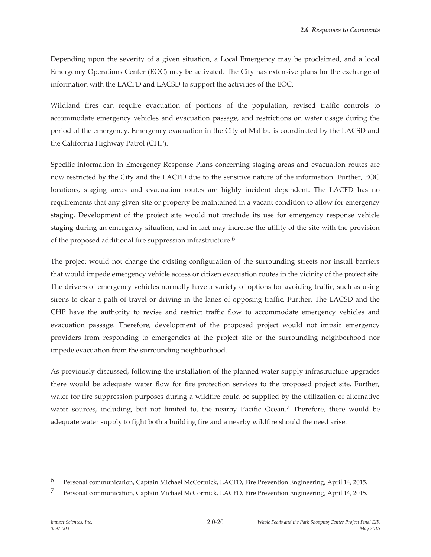Depending upon the severity of a given situation, a Local Emergency may be proclaimed, and a local Emergency Operations Center (EOC) may be activated. The City has extensive plans for the exchange of information with the LACFD and LACSD to support the activities of the EOC.

Wildland fires can require evacuation of portions of the population, revised traffic controls to accommodate emergency vehicles and evacuation passage, and restrictions on water usage during the period of the emergency. Emergency evacuation in the City of Malibu is coordinated by the LACSD and the California Highway Patrol (CHP).

Specific information in Emergency Response Plans concerning staging areas and evacuation routes are now restricted by the City and the LACFD due to the sensitive nature of the information. Further, EOC locations, staging areas and evacuation routes are highly incident dependent. The LACFD has no requirements that any given site or property be maintained in a vacant condition to allow for emergency staging. Development of the project site would not preclude its use for emergency response vehicle staging during an emergency situation, and in fact may increase the utility of the site with the provision of the proposed additional fire suppression infrastructure.<sup>6</sup>

The project would not change the existing configuration of the surrounding streets nor install barriers that would impede emergency vehicle access or citizen evacuation routes in the vicinity of the project site. The drivers of emergency vehicles normally have a variety of options for avoiding traffic, such as using sirens to clear a path of travel or driving in the lanes of opposing traffic. Further, The LACSD and the CHP have the authority to revise and restrict traffic flow to accommodate emergency vehicles and evacuation passage. Therefore, development of the proposed project would not impair emergency providers from responding to emergencies at the project site or the surrounding neighborhood nor impede evacuation from the surrounding neighborhood.

As previously discussed, following the installation of the planned water supply infrastructure upgrades there would be adequate water flow for fire protection services to the proposed project site. Further, water for fire suppression purposes during a wildfire could be supplied by the utilization of alternative water sources, including, but not limited to, the nearby Pacific Ocean.<sup>7</sup> Therefore, there would be adequate water supply to fight both a building fire and a nearby wildfire should the need arise.

<sup>6</sup> Personal communication, Captain Michael McCormick, LACFD, Fire Prevention Engineering, April 14, 2015.

<sup>7</sup> Personal communication, Captain Michael McCormick, LACFD, Fire Prevention Engineering, April 14, 2015.